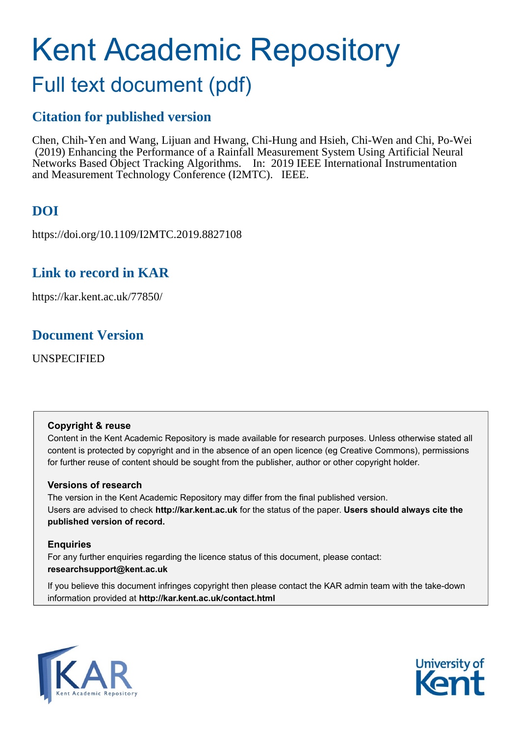# Kent Academic Repository

# Full text document (pdf)

## **Citation for published version**

Chen, Chih-Yen and Wang, Lijuan and Hwang, Chi-Hung and Hsieh, Chi-Wen and Chi, Po-Wei (2019) Enhancing the Performance of a Rainfall Measurement System Using Artificial Neural Networks Based Object Tracking Algorithms. In: 2019 IEEE International Instrumentation and Measurement Technology Conference (I2MTC). IEEE.

# **DOI**

https://doi.org/10.1109/I2MTC.2019.8827108

### **Link to record in KAR**

https://kar.kent.ac.uk/77850/

### **Document Version**

UNSPECIFIED

#### **Copyright & reuse**

Content in the Kent Academic Repository is made available for research purposes. Unless otherwise stated all content is protected by copyright and in the absence of an open licence (eg Creative Commons), permissions for further reuse of content should be sought from the publisher, author or other copyright holder.

#### **Versions of research**

The version in the Kent Academic Repository may differ from the final published version. Users are advised to check **http://kar.kent.ac.uk** for the status of the paper. **Users should always cite the published version of record.**

#### **Enquiries**

For any further enquiries regarding the licence status of this document, please contact: **researchsupport@kent.ac.uk**

If you believe this document infringes copyright then please contact the KAR admin team with the take-down information provided at **http://kar.kent.ac.uk/contact.html**



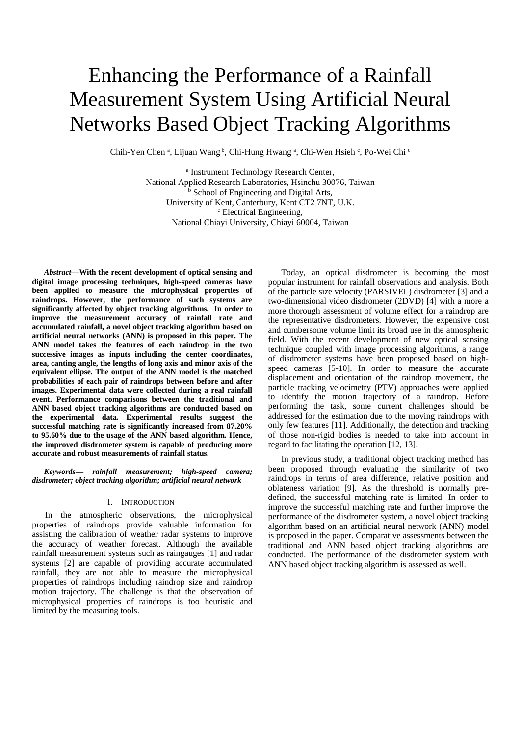# Enhancing the Performance of a Rainfall Measurement System Using Artificial Neural Networks Based Object Tracking Algorithms

Chih-Yen Chen <sup>a</sup>, Lijuan Wang <sup>b</sup>, Chi-Hung Hwang <sup>a</sup>, Chi-Wen Hsieh <sup>c</sup>, Po-Wei Chi c

a Instrument Technology Research Center, National Applied Research Laboratories, Hsinchu 30076, Taiwan **b** School of Engineering and Digital Arts, University of Kent, Canterbury, Kent CT2 7NT, U.K. <sup>c</sup> Electrical Engineering, National Chiayi University, Chiayi 60004, Taiwan

*Abstract***—With the recent development of optical sensing and digital image processing techniques, high-speed cameras have been applied to measure the microphysical properties of raindrops. However, the performance of such systems are significantly affected by object tracking algorithms. In order to improve the measurement accuracy of rainfall rate and accumulated rainfall, a novel object tracking algorithm based on artificial neural networks (ANN) is proposed in this paper. The ANN model takes the features of each raindrop in the two successive images as inputs including the center coordinates, area, canting angle, the lengths of long axis and minor axis of the equivalent ellipse. The output of the ANN model is the matched probabilities of each pair of raindrops between before and after images. Experimental data were collected during a real rainfall event. Performance comparisons between the traditional and ANN based object tracking algorithms are conducted based on the experimental data. Experimental results suggest the successful matching rate is significantly increased from 87.20% to 95.60% due to the usage of the ANN based algorithm. Hence, the improved disdrometer system is capable of producing more accurate and robust measurements of rainfall status.** 

*Keywords— rainfall measurement; high-speed camera; disdrometer; object tracking algorithm; artificial neural network* 

#### I. INTRODUCTION

In the atmospheric observations, the microphysical properties of raindrops provide valuable information for assisting the calibration of weather radar systems to improve the accuracy of weather forecast. Although the available rainfall measurement systems such as raingauges [1] and radar systems [2] are capable of providing accurate accumulated rainfall, they are not able to measure the microphysical properties of raindrops including raindrop size and raindrop motion trajectory. The challenge is that the observation of microphysical properties of raindrops is too heuristic and limited by the measuring tools.

Today, an optical disdrometer is becoming the most popular instrument for rainfall observations and analysis. Both of the particle size velocity (PARSIVEL) disdrometer [3] and a two-dimensional video disdrometer (2DVD) [4] with a more a more thorough assessment of volume effect for a raindrop are the representative disdrometers. However, the expensive cost and cumbersome volume limit its broad use in the atmospheric field. With the recent development of new optical sensing technique coupled with image processing algorithms, a range of disdrometer systems have been proposed based on highspeed cameras [5-10]. In order to measure the accurate displacement and orientation of the raindrop movement, the particle tracking velocimetry (PTV) approaches were applied to identify the motion trajectory of a raindrop. Before performing the task, some current challenges should be addressed for the estimation due to the moving raindrops with only few features [11]. Additionally, the detection and tracking of those non-rigid bodies is needed to take into account in regard to facilitating the operation [12, 13].

In previous study, a traditional object tracking method has been proposed through evaluating the similarity of two raindrops in terms of area difference, relative position and oblateness variation [9]. As the threshold is normally predefined, the successful matching rate is limited. In order to improve the successful matching rate and further improve the performance of the disdrometer system, a novel object tracking algorithm based on an artificial neural network (ANN) model is proposed in the paper. Comparative assessments between the traditional and ANN based object tracking algorithms are conducted. The performance of the disdrometer system with ANN based object tracking algorithm is assessed as well.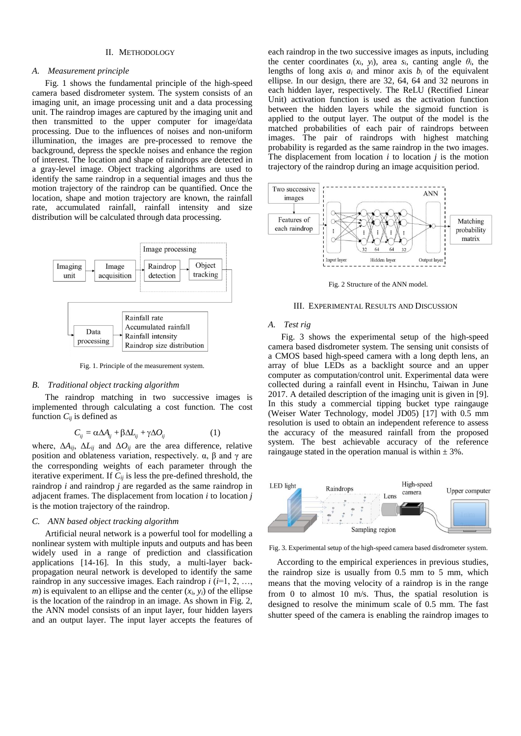#### II. METHODOLOGY

#### *A. Measurement principle*

Fig. 1 shows the fundamental principle of the high-speed camera based disdrometer system. The system consists of an imaging unit, an image processing unit and a data processing unit. The raindrop images are captured by the imaging unit and then transmitted to the upper computer for image/data processing. Due to the influences of noises and non-uniform illumination, the images are pre-processed to remove the background, depress the speckle noises and enhance the region of interest. The location and shape of raindrops are detected in a gray-level image. Object tracking algorithms are used to identify the same raindrop in a sequential images and thus the motion trajectory of the raindrop can be quantified. Once the location, shape and motion trajectory are known, the rainfall rate, accumulated rainfall, rainfall intensity and size distribution will be calculated through data processing.



Fig. 1. Principle of the measurement system.

#### *B. Traditional object tracking algorithm*

The raindrop matching in two successive images is implemented through calculating a cost function. The cost function  $C_{ii}$  is defined as

$$
C_{ij} = \alpha \Delta A_{ij} + \beta \Delta L_{ij} + \gamma \Delta O_{ij}
$$
 (1)

where,  $\Delta A_{ij}$ ,  $\Delta L_{ij}$  and  $\Delta O_{ij}$  are the area difference, relative position and oblateness variation, respectively.  $\alpha$ ,  $\beta$  and  $\gamma$  are the corresponding weights of each parameter through the iterative experiment. If *Cij* is less the pre-defined threshold, the raindrop *i* and raindrop *j* are regarded as the same raindrop in adjacent frames. The displacement from location *i* to location *j* is the motion trajectory of the raindrop.

#### *C. ANN based object tracking algorithm*

Artificial neural network is a powerful tool for modelling a nonlinear system with multiple inputs and outputs and has been widely used in a range of prediction and classification applications [14-16]. In this study, a multi-layer backpropagation neural network is developed to identify the same raindrop in any successive images. Each raindrop *i* (*i*=1, 2, …, *m*) is equivalent to an ellipse and the center  $(x_i, y_i)$  of the ellipse is the location of the raindrop in an image. As shown in Fig. 2, the ANN model consists of an input layer, four hidden layers and an output layer. The input layer accepts the features of

each raindrop in the two successive images as inputs, including the center coordinates  $(x_i, y_i)$ , area  $s_i$ , canting angle  $\theta_i$ , the lengths of long axis  $a_i$  and minor axis  $b_i$  of the equivalent ellipse. In our design, there are 32, 64, 64 and 32 neurons in each hidden layer, respectively. The ReLU (Rectified Linear Unit) activation function is used as the activation function between the hidden layers while the sigmoid function is applied to the output layer. The output of the model is the matched probabilities of each pair of raindrops between images. The pair of raindrops with highest matching probability is regarded as the same raindrop in the two images. The displacement from location *i* to location *j* is the motion trajectory of the raindrop during an image acquisition period.



Fig. 2 Structure of the ANN model.

#### III. EXPERIMENTAL RESULTS AND DISCUSSION

#### *A. Test rig*

Fig. 3 shows the experimental setup of the high-speed camera based disdrometer system. The sensing unit consists of a CMOS based high-speed camera with a long depth lens, an array of blue LEDs as a backlight source and an upper computer as computation/control unit. Experimental data were collected during a rainfall event in Hsinchu, Taiwan in June 2017. A detailed description of the imaging unit is given in [9]. In this study a commercial tipping bucket type raingauge (Weiser Water Technology, model JD05) [17] with 0.5 mm resolution is used to obtain an independent reference to assess the accuracy of the measured rainfall from the proposed system. The best achievable accuracy of the reference raingauge stated in the operation manual is within  $\pm$  3%.



Fig. 3. Experimental setup of the high-speed camera based disdrometer system.

According to the empirical experiences in previous studies, the raindrop size is usually from 0.5 mm to 5 mm, which means that the moving velocity of a raindrop is in the range from 0 to almost 10 m/s. Thus, the spatial resolution is designed to resolve the minimum scale of 0.5 mm. The fast shutter speed of the camera is enabling the raindrop images to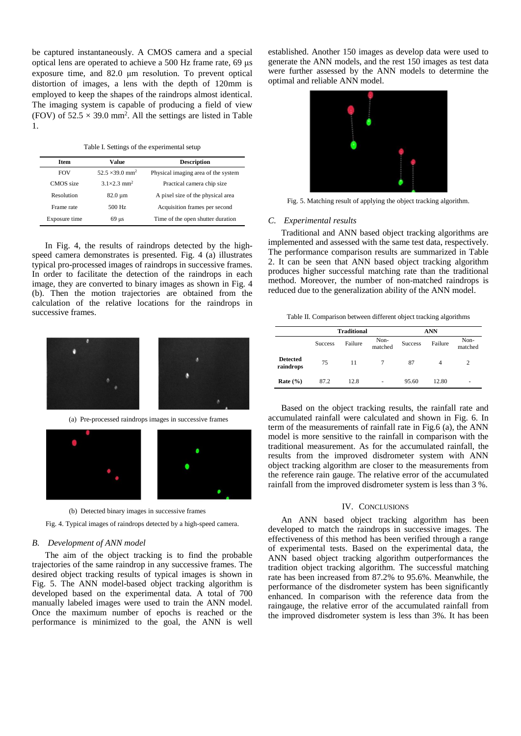be captured [instantaneousl](http://www.youdao.com/w/eng/instantaneous/?spc=instantaneous#keyfrom=dict.typo)y. A CMOS camera and a special optical lens are operated to achieve a 500 Hz frame rate, 69 μs exposure time, and 82.0 μm resolution. To prevent optical distortion of images, a lens with the depth of 120mm is employed to keep the shapes of the raindrops almost identical. The imaging system is capable of producing a field of view (FOV) of  $52.5 \times 39.0$  mm<sup>2</sup>. All the settings are listed in Table 1.

Table I. Settings of the experimental setup

| <b>Item</b>   | Value                              | <b>Description</b>                  |  |
|---------------|------------------------------------|-------------------------------------|--|
| <b>FOV</b>    | $52.5 \times 39.0$ mm <sup>2</sup> | Physical imaging area of the system |  |
| CMOS size     | $31\times23$ mm <sup>2</sup>       | Practical camera chip size          |  |
| Resolution    | $82.0 \mu m$                       | A pixel size of the physical area   |  |
| Frame rate    | 500 Hz                             | Acquisition frames per second       |  |
| Exposure time | $69$ us                            | Time of the open shutter duration   |  |

In Fig. 4, the results of raindrops detected by the highspeed camera demonstrates is presented. Fig. 4 (a) illustrates typical pro-processed images of raindrops in successive frames. In order to facilitate the detection of the raindrops in each image, they are converted to binary images as shown in Fig. 4 (b). Then the motion trajectories are obtained from the calculation of the relative locations for the raindrops in successive frames.



(a) Pre-processed raindrops images in successive frames



(b) Detected binary images in successive frames

Fig. 4. Typical images of raindrops detected by a high-speed camera.

#### *B. Development of ANN model*

The aim of the object tracking is to find the probable trajectories of the same raindrop in any successive frames. The desired object tracking results of typical images is shown in Fig. 5. The ANN model-based object tracking algorithm is developed based on the experimental data. A total of 700 manually labeled images were used to train the ANN model. Once the maximum number of epochs is reached or the performance is minimized to the goal, the ANN is well established. Another 150 images as develop data were used to generate the ANN models, and the rest 150 images as test data were further assessed by the ANN models to determine the optimal and reliable ANN model.



Fig. 5. Matching result of applying the object tracking algorithm.

#### *C. Experimental results*

Traditional and ANN based object tracking algorithms are implemented and assessed with the same test data, respectively. The performance comparison results are summarized in Table 2. It can be seen that ANN based object tracking algorithm produces higher successful matching rate than the traditional method. Moreover, the number of non-matched raindrops is reduced due to the generalization ability of the ANN model.

Table II. Comparison between different object tracking algorithms

|                              | <b>Traditional</b> |         |                 | <b>ANN</b>     |                |                 |
|------------------------------|--------------------|---------|-----------------|----------------|----------------|-----------------|
|                              | <b>Success</b>     | Failure | Non-<br>matched | <b>Success</b> | Failure        | Non-<br>matched |
| <b>Detected</b><br>raindrops | 75                 | 11      |                 | 87             | $\overline{4}$ | $\overline{c}$  |
| Rate $(\% )$                 | 87.2               | 12.8    | ٠               | 95.60          | 12.80          | ۰               |

Based on the object tracking results, the rainfall rate and accumulated rainfall were calculated and shown in Fig. 6. In term of the measurements of rainfall rate in Fig.6 (a), the ANN model is more sensitive to the rainfall in comparison with the traditional measurement. As for the accumulated rainfall, the results from the improved disdrometer system with ANN object tracking algorithm are closer to the measurements from the reference rain gauge. The relative error of the accumulated rainfall from the improved disdrometer system is less than 3 %.

#### IV. CONCLUSIONS

An ANN based object tracking algorithm has been developed to match the raindrops in successive images. The effectiveness of this method has been verified through a range of experimental tests. Based on the experimental data, the ANN based object tracking algorithm outperformances the tradition object tracking algorithm. The successful matching rate has been increased from 87.2% to 95.6%. Meanwhile, the performance of the disdrometer system has been significantly enhanced. In comparison with the reference data from the raingauge, the relative error of the accumulated rainfall from the improved disdrometer system is less than 3%. It has been